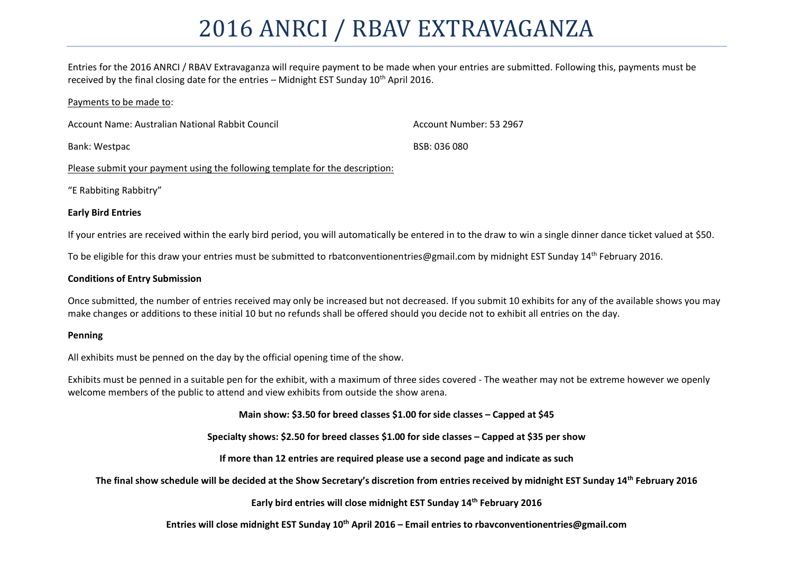# 2016 ANRCI / RBAV EXTRAVAGANZA

Entries for the 2016 ANRCI / RBAV Extravaganza will require payment to be made when your entries are submitted. Following this, payments must be received by the final closing date for the entries – Midnight EST Sunday  $10^{th}$  April 2016.

#### Payments to be made to:

| Account Name: Australian National Rabbit Council | Account Number: 53 2967 |
|--------------------------------------------------|-------------------------|
| Bank: Westpac                                    | BSB: 036 080            |

Please submit your payment using the following template for the description:

"E Rabbiting Rabbitry"

#### **Early Bird Entries**

If your entries are received within the early bird period, you will automatically be entered in to the draw to win a single dinner dance ticket valued at \$50.

To be eligible for this draw your entries must be submitted to rbatconventionentries@gmail.com by midnight EST Sunday 14<sup>th</sup> February 2016.

#### **Conditions of Entry Submission**

Once submitted, the number of entries received may only be increased but not decreased. If you submit 10 exhibits for any of the available shows you may make changes or additions to these initial 10 but no refunds shall be offered should you decide not to exhibit all entries on the day.

#### **Penning**

All exhibits must be penned on the day by the official opening time of the show.

Exhibits must be penned in a suitable pen for the exhibit, with a maximum of three sides covered - The weather may not be extreme however we openly welcome members of the public to attend and view exhibits from outside the show arena.

**Main show: \$3.50 for breed classes \$1.00 for side classes – Capped at \$45**

**Specialty shows: \$2.50 for breed classes \$1.00 for side classes – Capped at \$35 per show**

**If more than 12 entries are required please use a second page and indicate as such**

**The final show schedule will be decided at the Show Secretary's discretion from entries received by midnight EST Sunday 14th February 2016**

**Early bird entries will close midnight EST Sunday 14th February 2016**

### **Entries will close midnight EST Sunday 10th April 2016 – Email entries to rbavconventionentries@gmail.com**